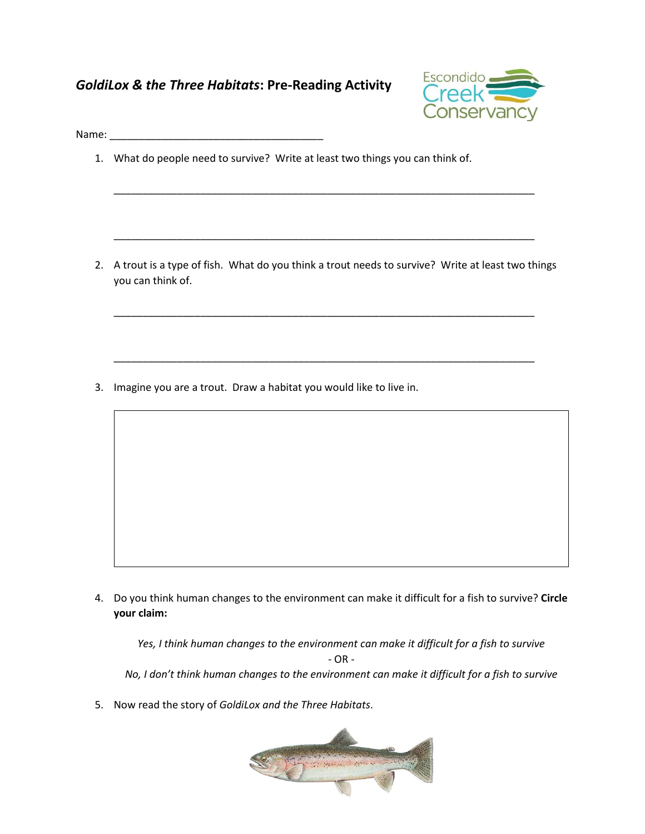## *GoldiLox & the Three Habitats***: Pre-Reading Activity**



Name:

1. What do people need to survive? Write at least two things you can think of.

2. A trout is a type of fish. What do you think a trout needs to survive? Write at least two things you can think of.

\_\_\_\_\_\_\_\_\_\_\_\_\_\_\_\_\_\_\_\_\_\_\_\_\_\_\_\_\_\_\_\_\_\_\_\_\_\_\_\_\_\_\_\_\_\_\_\_\_\_\_\_\_\_\_\_\_\_\_\_\_\_\_\_\_\_\_\_\_\_\_\_\_

\_\_\_\_\_\_\_\_\_\_\_\_\_\_\_\_\_\_\_\_\_\_\_\_\_\_\_\_\_\_\_\_\_\_\_\_\_\_\_\_\_\_\_\_\_\_\_\_\_\_\_\_\_\_\_\_\_\_\_\_\_\_\_\_\_\_\_\_\_\_\_\_\_

\_\_\_\_\_\_\_\_\_\_\_\_\_\_\_\_\_\_\_\_\_\_\_\_\_\_\_\_\_\_\_\_\_\_\_\_\_\_\_\_\_\_\_\_\_\_\_\_\_\_\_\_\_\_\_\_\_\_\_\_\_\_\_\_\_\_\_\_\_\_\_\_\_

\_\_\_\_\_\_\_\_\_\_\_\_\_\_\_\_\_\_\_\_\_\_\_\_\_\_\_\_\_\_\_\_\_\_\_\_\_\_\_\_\_\_\_\_\_\_\_\_\_\_\_\_\_\_\_\_\_\_\_\_\_\_\_\_\_\_\_\_\_\_\_\_\_

3. Imagine you are a trout. Draw a habitat you would like to live in.

4. Do you think human changes to the environment can make it difficult for a fish to survive? **Circle your claim:**

*Yes, I think human changes to the environment can make it difficult for a fish to survive*  $- OR -$ *No, I don't think human changes to the environment can make it difficult for a fish to survive*

5. Now read the story of *GoldiLox and the Three Habitats*.